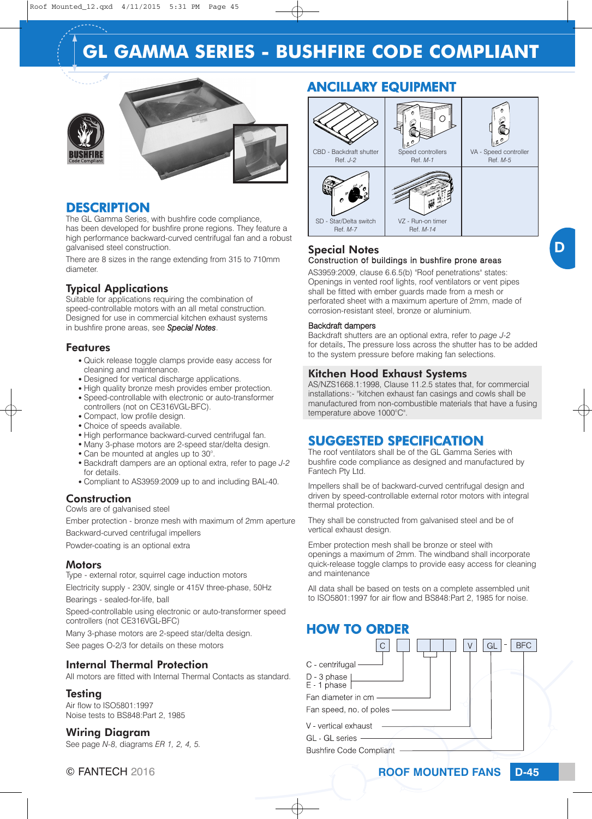# **GL GAMMA SERIES - BUSHFIRE CODE COMPLIANT**





### **DESCRIPTION**

The GL Gamma Series, with bushfire code compliance, has been developed for bushfire prone regions. They feature a high performance backward-curved centrifugal fan and a robust galvanised steel construction.

There are 8 sizes in the range extending from 315 to 710mm diameter.

## Typical Applications

Suitable for applications requiring the combination of speed-controllable motors with an all metal construction. Designed for use in commercial kitchen exhaust systems in bushfire prone areas, see *Special Notes*.

#### Features

- Quick release toggle clamps provide easy access for cleaning and maintenance.
- Designed for vertical discharge applications.
- High quality bronze mesh provides ember protection.
- Speed-controllable with electronic or auto-transformer controllers (not on CE316VGL-BFC).
- Compact, low profile design.
- Choice of speeds available.
- High performance backward-curved centrifugal fan.
- Many 3-phase motors are 2-speed star/delta design.
- Can be mounted at angles up to 30°.
- <sup>O</sup> Backdraft dampers are an optional extra, refer to page *J-2* for details.
- Compliant to AS3959:2009 up to and including BAL-40.

### **Construction**

Cowls are of galvanised steel

Ember protection - bronze mesh with maximum of 2mm aperture Backward-curved centrifugal impellers

Powder-coating is an optional extra

#### **Motors**

Type - external rotor, squirrel cage induction motors Electricity supply - 230V, single or 415V three-phase, 50Hz

Bearings - sealed-for-life, ball

Speed-controllable using electronic or auto-transformer speed controllers (not CE316VGL-BFC)

Many 3-phase motors are 2-speed star/delta design. See pages O-2/3 for details on these motors

#### Internal Thermal Protection

All motors are fitted with Internal Thermal Contacts as standard.

#### **Testing**

Air flow to ISO5801:1997 Noise tests to BS848:Part 2, 1985

#### Wiring Diagram

See page *N-8*, diagrams *ER 1, 2, 4, 5.*

## ANCILLARY EQUIPMENT



#### Special Notes Construction of buildings in bushfire prone areas

AS3959:2009, clause 6.6.5(b) "Roof penetrations" states: Openings in vented roof lights, roof ventilators or vent pipes shall be fitted with ember guards made from a mesh or perforated sheet with a maximum aperture of 2mm, made of corrosion-resistant steel, bronze or aluminium.

#### Backdraft dampers

Backdraft shutters are an optional extra, refer to *page J-2* for details. The pressure loss across the shutter has to be added to the system pressure before making fan selections.

#### Kitchen Hood Exhaust Systems

AS/NZS1668.1:1998, Clause 11.2.5 states that, for commercial installations:- "kitchen exhaust fan casings and cowls shall be manufactured from non-combustible materials that have a fusing temperature above 1000°C".

## SUGGESTED SPECIFICATION

The roof ventilators shall be of the GL Gamma Series with bushfire code compliance as designed and manufactured by Fantech Pty Ltd.

Impellers shall be of backward-curved centrifugal design and driven by speed-controllable external rotor motors with integral thermal protection.

They shall be constructed from galvanised steel and be of vertical exhaust design.

Ember protection mesh shall be bronze or steel with openings a maximum of 2mm. The windband shall incorporate quick-release toggle clamps to provide easy access for cleaning and maintenance

All data shall be based on tests on a complete assembled unit to ISO5801:1997 for air flow and BS848:Part 2, 1985 for noise.

## HOW TO ORDER

| C - centrifugal                                                          |  | <b>BFC</b><br>G |
|--------------------------------------------------------------------------|--|-----------------|
| D - 3 phase<br>E - 1 phase                                               |  |                 |
| Fan diameter in cm<br>Fan speed, no of poles                             |  |                 |
| V - vertical exhaust<br>GL - GL series<br><b>Bushfire Code Compliant</b> |  |                 |

© FANTECH 2016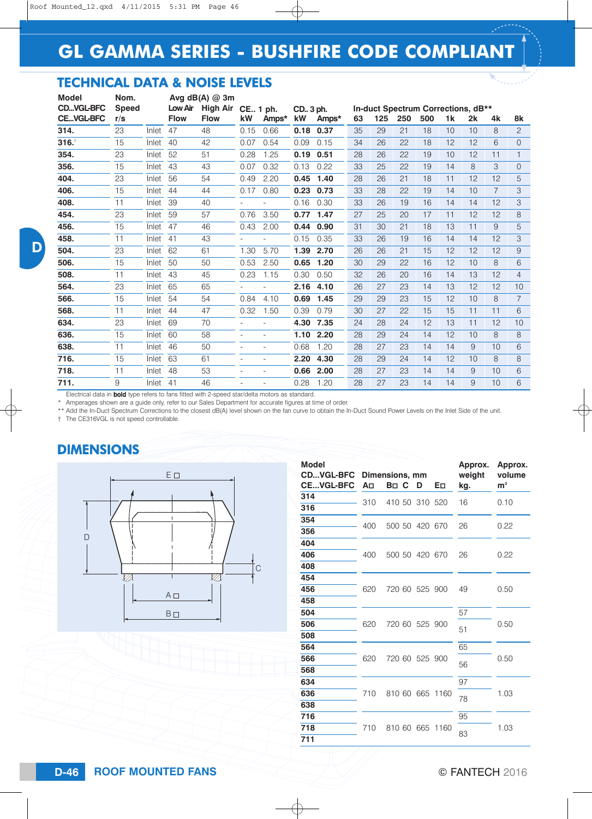# TECHNICAL DATA & NOISE LEVELS

| Model            | Nom.         |       |             | Avg $dB(A)$ @ 3m |          |       |            |       |    |     |     |                                    |                |    |                |                |
|------------------|--------------|-------|-------------|------------------|----------|-------|------------|-------|----|-----|-----|------------------------------------|----------------|----|----------------|----------------|
| <b>CDVGL-BFC</b> | <b>Speed</b> |       | Low Air     | <b>High Air</b>  | CE 1 ph. |       | CD., 3 ph. |       |    |     |     | In-duct Spectrum Corrections, dB** |                |    |                |                |
| <b>CEVGL-BFC</b> | r/s          |       | <b>Flow</b> | <b>Flow</b>      | kW       | Amps* | kW         | Amps* | 63 | 125 | 250 | 500                                | 1 <sub>k</sub> | 2k | 4k             | 8k             |
| 314.             | 23           | Inlet | 47          | 48               | 0.15     | 0.66  | 0.18       | 0.37  | 35 | 29  | 21  | 18                                 | 10             | 10 | 8              | $\overline{2}$ |
| 316.             | 15           | Inlet | 40          | 42               | 0.07     | 0.54  | 0.09       | 0.15  | 34 | 26  | 22  | 18                                 | 12             | 12 | 6              | $\Omega$       |
| 354.             | 23           | Inlet | 52          | 51               | 0.28     | 1.25  | 0.19       | 0.51  | 28 | 26  | 22  | 19                                 | 10             | 12 | 11             | 1              |
| 356.             | 15           | Inlet | 43          | 43               | 0.07     | 0.32  | 0.13       | 0.22  | 33 | 25  | 22  | 19                                 | 14             | 8  | 3              | $\Omega$       |
| 404.             | 23           | Inlet | 56          | 54               | 0.49     | 2.20  | 0.45       | 1.40  | 28 | 26  | 21  | 18                                 | 11             | 12 | 12             | 5              |
| 406.             | 15           | Inlet | 44          | 44               | 0.17     | 0.80  | 0.23       | 0.73  | 33 | 28  | 22  | 19                                 | 14             | 10 | $\overline{7}$ | 3              |
| 408.             | 11           | Inlet | 39          | 40               |          |       | 0.16       | 0.30  | 33 | 26  | 19  | 16                                 | 14             | 14 | 12             | 3              |
| 454.             | 23           | Inlet | 59          | 57               | 0.76     | 3.50  | 0.77       | 1.47  | 27 | 25  | 20  | 17                                 | 11             | 12 | 12             | 8              |
| 456.             | 15           | Inlet | 47          | 46               | 0.43     | 2.00  | 0.44       | 0.90  | 31 | 30  | 21  | 18                                 | 13             | 11 | 9              | 5              |
| 458.             | 11           | Inlet | 41          | 43               | ۰        |       | 0.15       | 0.35  | 33 | 26  | 19  | 16                                 | 14             | 14 | 12             | 3              |
| 504.             | 23           | Inlet | 62          | 61               | 1.30     | 5.70  | 1.39       | 2.70  | 26 | 26  | 21  | 15                                 | 12             | 12 | 12             | 9              |
| 506.             | 15           | Inlet | 50          | 50               | 0.53     | 2.50  | 0.65       | 1.20  | 30 | 29  | 22  | 16                                 | 12             | 10 | 8              | 6              |
| 508.             | 11           | Inlet | 43          | 45               | 0.23     | 1.15  | 0.30       | 0.50  | 32 | 26  | 20  | 16                                 | 14             | 13 | 12             | 4              |
| 564.             | 23           | Inlet | 65          | 65               |          |       | 2.16       | 4.10  | 26 | 27  | 23  | 14                                 | 13             | 12 | 12             | 10             |
| 566.             | 15           | Inlet | 54          | 54               | 0.84     | 4.10  | 0.69       | 1.45  | 29 | 29  | 23  | 15                                 | 12             | 10 | 8              | $\overline{7}$ |
| 568.             | 11           | Inlet | 44          | 47               | 0.32     | 1.50  | 0.39       | 0.79  | 30 | 27  | 22  | 15                                 | 15             | 11 | 11             | 6              |
| 634.             | 23           | Inlet | 69          | 70               |          |       | 4.30       | 7.35  | 24 | 28  | 24  | 12                                 | 13             | 11 | 12             | 10             |
| 636.             | 15           | Inlet | 60          | 58               |          |       | 1.10       | 2.20  | 28 | 29  | 24  | 14                                 | 12             | 10 | 8              | 8              |
| 638.             | 11           | Inlet | 46          | 50               |          |       | 0.68       | 1.20  | 28 | 27  | 23  | 14                                 | 14             | 9  | 10             | 6              |
| 716.             | 15           | Inlet | 63          | 61               |          |       | 2.20       | 4.30  | 28 | 29  | 24  | 14                                 | 12             | 10 | 8              | 8              |
| 718.             | 11           | Inlet | 48          | 53               |          |       | 0.66       | 2.00  | 28 | 27  | 23  | 14                                 | 14             | 9  | 10             | 6              |
| 711.             | 9            | Inlet | 41          | 46               |          |       | 0.28       | 1.20  | 28 | 27  | 23  | 14                                 | 14             | 9  | 10             | 6              |
|                  |              |       |             |                  |          |       |            |       |    |     |     |                                    |                |    |                |                |

Electrical data in **bold** type refers to fans fitted with 2-speed star/delta motors as standard.

Amperages shown are a guide only, refer to our Sales Department for accurate figures at time of order.

\*\* Add the In-Duct Spectrum Corrections to the closest dB(A) level shown on the fan curve to obtain the In-Duct Sound Power Levels on the Inlet Side of the unit.

† The CE316VGL is not speed controllable.

## DIMENSIONS



| <b>Model</b><br><b>CDVGL-BFC</b><br><b>CEVGL-BFC</b> | Aп  | Dimensions, mm<br>Bn C | D | Eо   | Approx.<br>weight<br>kg. | Approx.<br>volume<br>${\bf m}^3$ |  |
|------------------------------------------------------|-----|------------------------|---|------|--------------------------|----------------------------------|--|
| 314<br>316                                           | 310 | 410 50 310 520         |   |      | 16                       | 0.10                             |  |
| 354<br>356                                           | 400 | 500 50 420 670         |   |      | 26                       | 0.22                             |  |
| 404                                                  |     |                        |   |      |                          |                                  |  |
| 406<br>408                                           | 400 | 500 50 420 670         |   |      | 26                       | 0.22                             |  |
| 454<br>456                                           | 620 | 720 60 525 900         |   |      | 49                       | 0.50                             |  |
| 458                                                  |     |                        |   |      |                          |                                  |  |
| 504                                                  |     |                        |   |      | 57                       |                                  |  |
| 506<br>508                                           | 620 | 720 60 525 900         |   |      | 51                       | 0.50                             |  |
| 564                                                  |     |                        |   |      | 65                       |                                  |  |
| 566<br>568                                           | 620 | 720 60 525 900         |   |      | 56                       | 0.50                             |  |
| 634                                                  |     |                        |   |      | 97                       |                                  |  |
| 636<br>638                                           | 710 | 810 60 665 1160        |   |      | 78                       | 1.03                             |  |
| 716                                                  |     |                        |   |      | 95                       |                                  |  |
| 718<br>711                                           | 710 | 810 60 665             |   | 1160 | 83                       | 1.03                             |  |